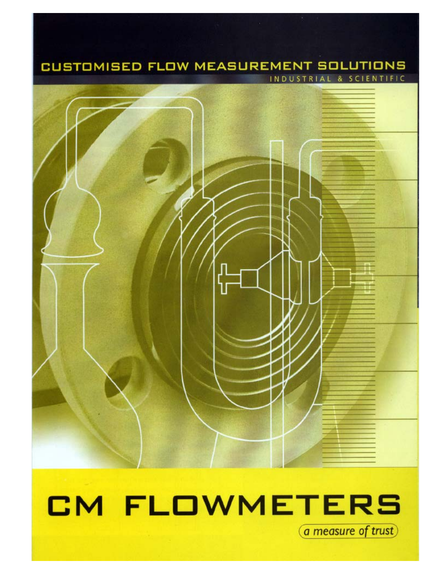## CUSTOMISED FLOW MEASUREMENT SOLUTIONS



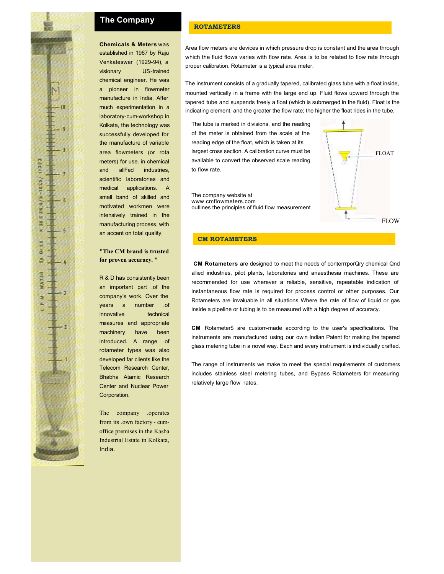### **The Company**

**Chemicals & Meters** was established in 1967 by Raju Venkateswar (1929-94), a visionary US-trained chemical engineer. He was a pioneer in flowmeter manufacture in India, After much experimentation in a laboratory-cum-workshop in Kolkata, the technology was successfully developed for the manufacture of variable area flowmeters (or rota meters) for use. in chemical and allFed industries, scientific laboratories and medical applications. A small band of skilled and motivated workmen were intensively trained in the manufacturing process, with an accent on total quality.

#### **"The CM brand is trusted for proven accuracy. "**

R & D has consistently been an important part .of the company's work. Over the years a number .of innovative technical measures and appropriate machinery have been introduced. A range .of rotameter types was also developed far clients like the Telecom Research Center, Bhabha Atamic Research Center and Nuclear Power Corporation.

The company .operates from its .own factory - cumoffice premises in the Kasba Industrial Estate in Kolkata, India.

#### **ROTAMETERS**

Area flow meters are devices in which pressure drop is constant and the area through which the fluid flows varies with flow rate. Area is to be related to flow rate through proper calibration. Rotameter is a typical area meter.

The instrument consists of a gradually tapered, calibrated glass tube with a float inside, mounted vertically in a frame with the large end up. Fluid flows upward through the tapered tube and suspends freely a float (which is submerged in the fluid). Float is the indicating element, and the greater the flow rate; the higher the float rides in the tube.

The tube is marked in divisions, and the reading of the meter is obtained from the scale at the reading edge of the float, which is taken at its largest cross section. A calibration curve must be available to convert the observed scale reading to flow rate.

The company website at www.cmflowmeters.com outlines the principles of fluid flow measurement

FLOW

FLOAT

#### **CM ROTAMETERS**

**CM Rotameters** are designed to meet the needs of conterrrporQry chemical Qnd allied industries, pilot plants, laboratories and anaesthesia machines. These are recommended for use wherever a reliable, sensitive, repeatable indication of instantaneous flow rate is required for process control or other purposes. Our Rotameters are invaluable in all situations Where the rate of flow of liquid or gas inside a pipeline or tubing is to be measured with a high degree of accuracy.

**CM** Rotameter\$ are custom-made according to the user's specifications. The instruments are manufactured using our ow n Indian Patent for making the tapered glass metering tube in a novel way. Each and every instrument is individually crafted.

The range of instruments we make to meet the special requirements of customers includes stainless steel metering tubes, and Bypass Rotameters for measuring relatively large flow rates.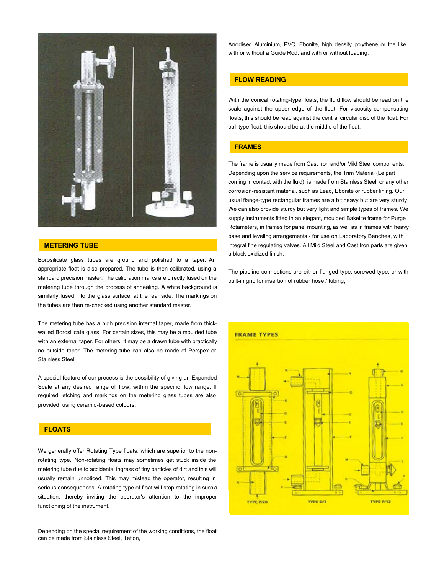

#### **METERING TUBE**

Borosilicate glass tubes are ground and polished to a taper. An appropriate float is also prepared. The tube is then calibrated, using a standard precision master. The calibration marks are directly fused on the metering tube through the process of annealing. A white background is similarly fused into the glass surface, at the rear side. The markings on the tubes are then re-checked using another standard master.

The metering tube has a high precision internal taper, made from thickwalled Borosilicate glass. For certain sizes, this may be a moulded tube with an external taper. For others, it may be a drawn tube with practically no outside taper. The metering tube can also be made of Perspex or Stainless Steel.

A special feature of our process is the possibility of giving an Expanded Scale at any desired range of flow, within the specific flow range. If required, etching and markings on the metering glass tubes are also provided, using ceramic-based colours.

#### **FLOATS**

We generally offer Rotating Type floats, which are superior to the nonrotating type. Non-rotating floats may sometimes get stuck inside the metering tube due to accidental ingress of tiny particles of dirt and this will usually remain unnoticed. This may mislead the operator, resulting in serious consequences. A rotating type of float will stop rotating in such a situation, thereby inviting the operator's attention to the improper functioning of the instrument.

Depending on the special requirement of the working conditions, the float can be made from Stainless Steel, Teflon,

Anodised Aluminium, PVC, Ebonite, high density polythene or the like, with or without a Guide Rod, and with or without loading.

#### **FLOW READING**

With the conical rotating-type floats, the fluid flow should be read on the scale against the upper edge of the float. For viscosity compensating floats, this should be read against the central circular disc of the float. For ball-type float, this should be at the middle of the float.

#### **FRAMES**

The frame is usually made from Cast Iron and/or Mild Steel components. Depending upon the service requirements, the Trim Material (Le part coming in contact with the fluid), is made from Stainless Steel, or any other corrosion-resistant material. such as Lead, Ebonite or rubber lining. Our usual flange-type rectangular frames are a bit heavy but are very sturdy. We can also provide sturdy but very light and simple types of frames. We supply instruments fitted in an elegant, moulded Bakelite frame for Purge Rotameters, in frames for panel mounting, as well as in frames with heavy base and leveling arrangements - for use on Laboratory Benches, with integral fine regulating valves. All Mild Steel and Cast Iron parts are given a black oxidized finish.

The pipeline connections are either flanged type, screwed type, or with built-in grip for insertion of rubber hose / tubing,

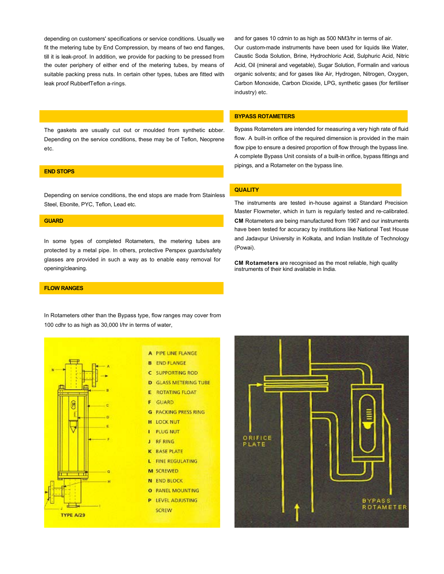depending on customers' specifications or service conditions. Usually we fit the metering tube by End Compression, by means of two end flanges, till it is leak-proof. In addition, we provide for packing to be pressed from the outer periphery of either end of the metering tubes, by means of suitable packing press nuts. In certain other types, tubes are fitted with leak proof RubberfTeflon a-rings.

and for gases 10 cdmin to as high as 500 NM3/hr in terms of air. Our custom-made instruments have been used for liquids like Water, Caustic Soda Solution, Brine, Hydrochloric Acid, Sulphuric Acid, Nitric Acid, Oil (mineral and vegetable), Sugar Solution, Formalin and various organic solvents; and for gases like Air, Hydrogen, Nitrogen, Oxygen, Carbon Monoxide, Carbon Dioxide, LPG, synthetic gases (for fertiliser industry) etc.

#### **BYPASS ROTAMETERS**

The gaskets are usually cut out or moulded from synthetic ubber. Depending on the service conditions, these may be of Teflon, Neoprene etc.

#### **END STOPS**

Depending on service conditions, the end stops are made from Stainless Steel, Ebonite, PYC, Teflon, Lead etc.

#### **GUARD**

In some types of completed Rotameters, the metering tubes are protected by a metal pipe. In others, protective Perspex guards/safety glasses are provided in such a way as to enable easy removal for opening/cleaning.

#### **FLOW RANGES**

In Rotameters other than the Bypass type, flow ranges may cover from 100 cdhr to as high as 30,000 I/hr in terms of water,



# ORIFICE PLATE **BYPASS** ROTAMETER

Bypass Rotameters are intended for measuring a very high rate of fluid flow. A built-in orifice of the required dimension is provided in the main flow pipe to ensure a desired proportion of flow through the bypass line. A complete Bypass Unit consists of a built-in orifice, bypass fittings and pipings, and a Rotameter on the bypass line.

#### **QUALITY**

The instruments are tested in-house against a Standard Precision Master Flowmeter, which in turn is regularly tested and re-calibrated. **CM** Rotameters are being manufactured from 1967 and our instruments have been tested for accuracy by institutions like National Test House and Jadavpur University in Kolkata, and Indian Institute of Technology (Powai).

**CM Rotameters** are recognised as the most reliable, high quality instruments of their kind available in India.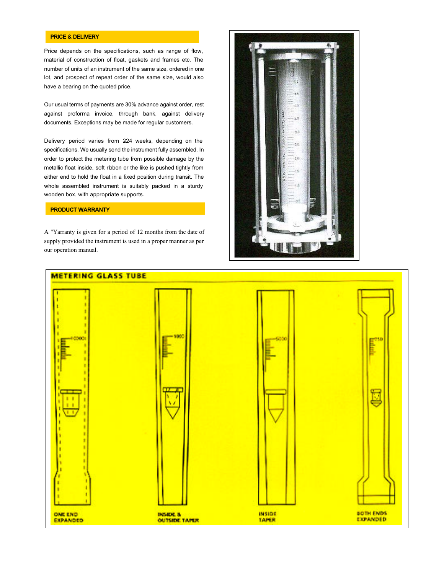#### **PRICE & DELIVERY**

Price depends on the specifications, such as range of flow, material of construction of float, gaskets and frames etc. The number of units of an instrument of the same size, ordered in one lot, and prospect of repeat order of the same size, would also have a bearing on the quoted price.

Our usual terms of payments are 30% advance against order, rest against proforma invoice, through bank, against delivery documents. Exceptions may be made for regular customers.

Delivery period varies from 224 weeks, depending on the specifications. We usually send the instrument fully assembled. In order to protect the metering tube from possible damage by the metallic float inside, soft ribbon or the like is pushed tightly from either end to hold the float in a fixed position during transit. The whole assembled instrument is suitably packed in a sturdy wooden box, with appropriate supports.

#### **PRODUCT WARRANTY**

A "Yarranty is given for a period of 12 months from the date of supply provided the instrument is used in a proper manner as per our operation manual.